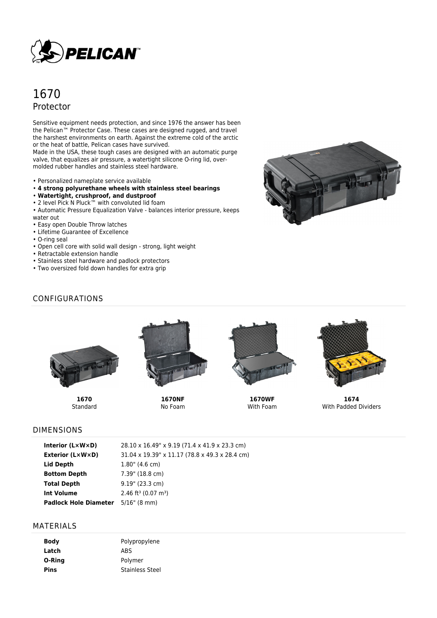

# 1670 Protector

Sensitive equipment needs protection, and since 1976 the answer has been the Pelican™ Protector Case. These cases are designed rugged, and travel the harshest environments on earth. Against the extreme cold of the arctic or the heat of battle, Pelican cases have survived.

Made in the USA, these tough cases are designed with an automatic purge valve, that equalizes air pressure, a watertight silicone O-ring lid, overmolded rubber handles and stainless steel hardware.

- Personalized nameplate service available
- **4 strong polyurethane wheels with stainless steel bearings**
- **Watertight, crushproof, and dustproof**
- 2 level Pick N Pluck™ with convoluted lid foam
- Automatic Pressure Equalization Valve balances interior pressure, keeps water out
- Easy open Double Throw latches
- Lifetime Guarantee of Excellence
- O-ring seal
- Open cell core with solid wall design strong, light weight
- Retractable extension handle
- Stainless steel hardware and padlock protectors
- Two oversized fold down handles for extra grip



# CONFIGURATIONS



**1670 Standard** 



**1670NF** No Foam



**1670WF** With Foam



**1674** With Padded Dividers

## DIMENSIONS

| Interior (L×W×D)             | 28.10 x 16.49" x 9.19 (71.4 x 41.9 x 23.3 cm)  |
|------------------------------|------------------------------------------------|
| Exterior (L×W×D)             | 31.04 x 19.39" x 11.17 (78.8 x 49.3 x 28.4 cm) |
| Lid Depth                    | $1.80$ " (4.6 cm)                              |
| <b>Bottom Depth</b>          | 7.39" (18.8 cm)                                |
| Total Depth                  | $9.19$ " (23.3 cm)                             |
| Int Volume                   | 2.46 ft <sup>3</sup> (0.07 m <sup>3</sup> )    |
| <b>Padlock Hole Diameter</b> | 5/16" (8 mm)                                   |

## MATERIALS

| Body   | Polypropylene          |
|--------|------------------------|
| Latch  | ABS                    |
| O-Ring | Polymer                |
| Pins   | <b>Stainless Steel</b> |